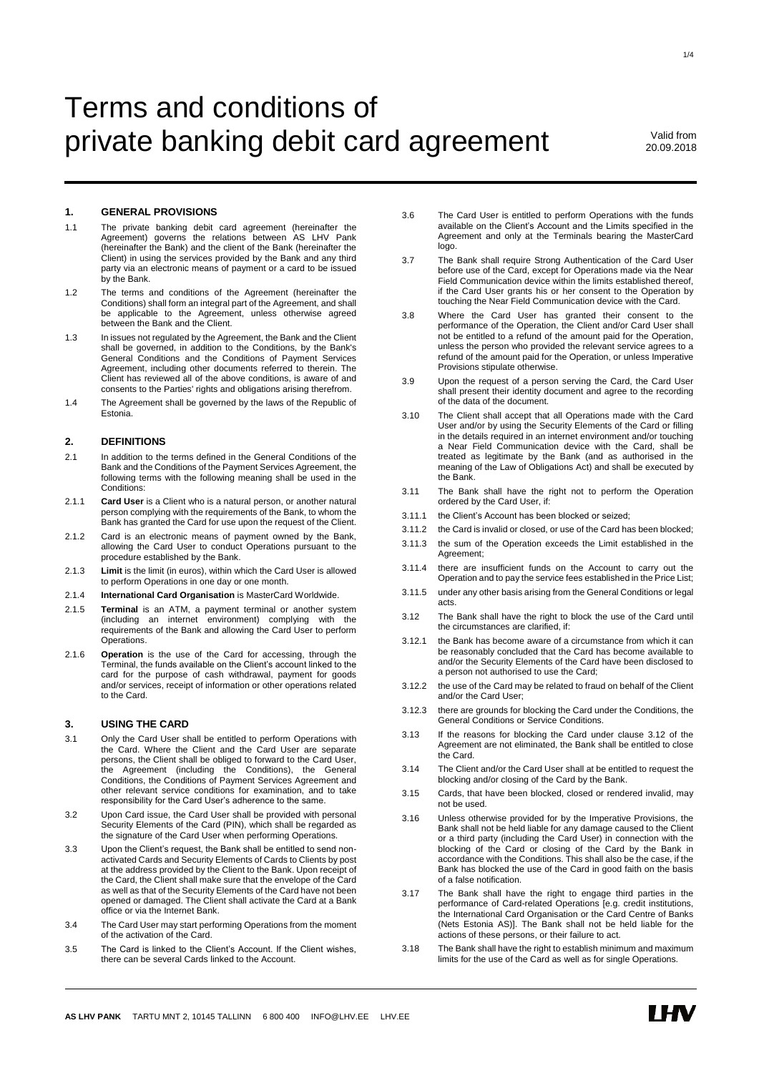# Terms and conditions of private banking debit card agreement Valid from

20.09.2018

# **1. GENERAL PROVISIONS**

- 1.1 The private banking debit card agreement (hereinafter the Agreement) governs the relations between AS LHV Pank (hereinafter the Bank) and the client of the Bank (hereinafter the Client) in using the services provided by the Bank and any third party via an electronic means of payment or a card to be issued by the Bank.
- 1.2 The terms and conditions of the Agreement (hereinafter the Conditions) shall form an integral part of the Agreement, and shall be applicable to the Agreement, unless otherwise agreed between the Bank and the Client.
- 1.3 In issues not regulated by the Agreement, the Bank and the Client shall be governed, in addition to the Conditions, by the Bank's General Conditions and the Conditions of Payment Services Agreement, including other documents referred to therein. The Client has reviewed all of the above conditions, is aware of and consents to the Parties' rights and obligations arising therefrom.
- 1.4 The Agreement shall be governed by the laws of the Republic of Estonia.

# **2. DEFINITIONS**

- 2.1 In addition to the terms defined in the General Conditions of the Bank and the Conditions of the Payment Services Agreement, the following terms with the following meaning shall be used in the Conditions:
- 2.1.1 **Card User** is a Client who is a natural person, or another natural person complying with the requirements of the Bank, to whom the Bank has granted the Card for use upon the request of the Client.
- 2.1.2 Card is an electronic means of payment owned by the Bank, allowing the Card User to conduct Operations pursuant to the procedure established by the Bank.
- 2.1.3 **Limit** is the limit (in euros), within which the Card User is allowed to perform Operations in one day or one month.
- 2.1.4 **International Card Organisation** is MasterCard Worldwide.
- 2.1.5 **Terminal** is an ATM, a payment terminal or another system (including an internet environment) complying with the requirements of the Bank and allowing the Card User to perform Operations.
- 2.1.6 **Operation** is the use of the Card for accessing, through the Terminal, the funds available on the Client's account linked to the card for the purpose of cash withdrawal, payment for goods and/or services, receipt of information or other operations related to the Card.

#### **3. USING THE CARD**

- 3.1 Only the Card User shall be entitled to perform Operations with the Card. Where the Client and the Card User are separate persons, the Client shall be obliged to forward to the Card User, the Agreement (including the Conditions), the General Conditions, the Conditions of Payment Services Agreement and other relevant service conditions for examination, and to take responsibility for the Card User's adherence to the same.
- 3.2 Upon Card issue, the Card User shall be provided with personal Security Elements of the Card (PIN), which shall be regarded as the signature of the Card User when performing Operations.
- 3.3 Upon the Client's request, the Bank shall be entitled to send nonactivated Cards and Security Elements of Cards to Clients by post at the address provided by the Client to the Bank. Upon receipt of the Card, the Client shall make sure that the envelope of the Card as well as that of the Security Elements of the Card have not been opened or damaged. The Client shall activate the Card at a Bank office or via the Internet Bank.
- 3.4 The Card User may start performing Operations from the moment of the activation of the Card.
- 3.5 The Card is linked to the Client's Account. If the Client wishes, there can be several Cards linked to the Account.
- 3.6 The Card User is entitled to perform Operations with the funds available on the Client's Account and the Limits specified in the Agreement and only at the Terminals bearing the MasterCard logo.
- 3.7 The Bank shall require Strong Authentication of the Card User before use of the Card, except for Operations made via the Near Field Communication device within the limits established thereof, if the Card User grants his or her consent to the Operation by touching the Near Field Communication device with the Card.
- 3.8 Where the Card User has granted their consent to the performance of the Operation, the Client and/or Card User shall not be entitled to a refund of the amount paid for the Operation, unless the person who provided the relevant service agrees to a refund of the amount paid for the Operation, or unless Imperative Provisions stipulate otherwise.
- 3.9 Upon the request of a person serving the Card, the Card User shall present their identity document and agree to the recording of the data of the document.
- 3.10 The Client shall accept that all Operations made with the Card User and/or by using the Security Elements of the Card or filling in the details required in an internet environment and/or touching a Near Field Communication device with the Card, shall be treated as legitimate by the Bank (and as authorised in the meaning of the Law of Obligations Act) and shall be executed by the Bank.
- 3.11 The Bank shall have the right not to perform the Operation ordered by the Card User, if:
- 3.11.1 the Client's Account has been blocked or seized;
- 3.11.2 the Card is invalid or closed, or use of the Card has been blocked;
- 3.11.3 the sum of the Operation exceeds the Limit established in the Agreement;
- 3.11.4 there are insufficient funds on the Account to carry out the Operation and to pay the service fees established in the Price List;
- 3.11.5 under any other basis arising from the General Conditions or legal acts.
- 3.12 The Bank shall have the right to block the use of the Card until the circumstances are clarified, if:
- 3.12.1 the Bank has become aware of a circumstance from which it can be reasonably concluded that the Card has become available to and/or the Security Elements of the Card have been disclosed to a person not authorised to use the Card;
- 3.12.2 the use of the Card may be related to fraud on behalf of the Client and/or the Card User;
- 3.12.3 there are grounds for blocking the Card under the Conditions, the General Conditions or Service Conditions.
- 3.13 If the reasons for blocking the Card under clause 3.12 of the Agreement are not eliminated, the Bank shall be entitled to close the Card.
- 3.14 The Client and/or the Card User shall at be entitled to request the blocking and/or closing of the Card by the Bank.
- 3.15 Cards, that have been blocked, closed or rendered invalid, may not be used.
- 3.16 Unless otherwise provided for by the Imperative Provisions, the Bank shall not be held liable for any damage caused to the Client or a third party (including the Card User) in connection with the blocking of the Card or closing of the Card by the Bank in accordance with the Conditions. This shall also be the case, if the Bank has blocked the use of the Card in good faith on the basis of a false notification.
- 3.17 The Bank shall have the right to engage third parties in the performance of Card-related Operations [e.g. credit institutions, the International Card Organisation or the Card Centre of Banks (Nets Estonia AS)]. The Bank shall not be held liable for the actions of these persons, or their failure to act.
- 3.18 The Bank shall have the right to establish minimum and maximum limits for the use of the Card as well as for single Operations.

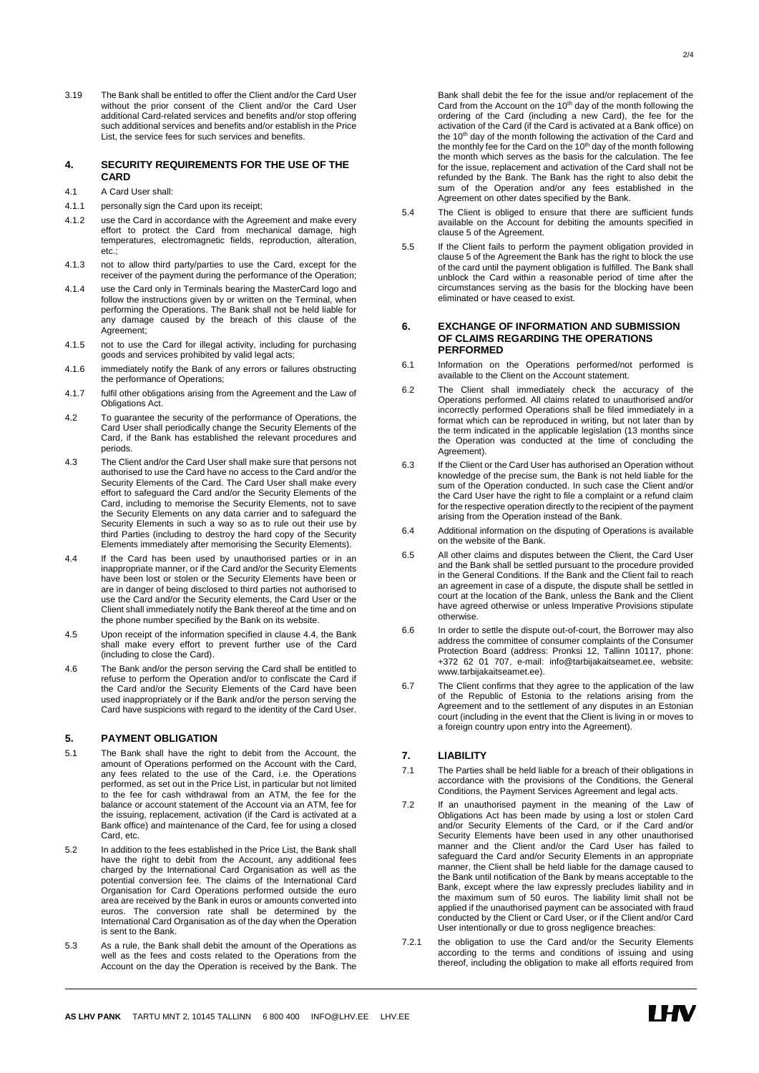3.19 The Bank shall be entitled to offer the Client and/or the Card User without the prior consent of the Client and/or the Card User additional Card-related services and benefits and/or stop offering such additional services and benefits and/or establish in the Price List, the service fees for such services and benefits.

#### **4. SECURITY REQUIREMENTS FOR THE USE OF THE CARD**

- 4.1 A Card User shall:
- 4.1.1 personally sign the Card upon its receipt;
- 4.1.2 use the Card in accordance with the Agreement and make every effort to protect the Card from mechanical damage, high temperatures, electromagnetic fields, reproduction, alteration, etc.;
- 4.1.3 not to allow third party/parties to use the Card, except for the receiver of the payment during the performance of the Operation;
- 4.1.4 use the Card only in Terminals bearing the MasterCard logo and follow the instructions given by or written on the Terminal, when performing the Operations. The Bank shall not be held liable for any damage caused by the breach of this clause of the Agreement:
- 4.1.5 not to use the Card for illegal activity, including for purchasing goods and services prohibited by valid legal acts;
- 4.1.6 immediately notify the Bank of any errors or failures obstructing the performance of Operations;
- 4.1.7 fulfil other obligations arising from the Agreement and the Law of Obligations Act.
- 4.2 To guarantee the security of the performance of Operations, the Card User shall periodically change the Security Elements of the Card, if the Bank has established the relevant procedures and periods.
- 4.3 The Client and/or the Card User shall make sure that persons not authorised to use the Card have no access to the Card and/or the Security Elements of the Card. The Card User shall make every effort to safeguard the Card and/or the Security Elements of the Card, including to memorise the Security Elements, not to save the Security Elements on any data carrier and to safeguard the Security Elements in such a way so as to rule out their use by third Parties (including to destroy the hard copy of the Security Elements immediately after memorising the Security Elements).
- 4.4 If the Card has been used by unauthorised parties or in an inappropriate manner, or if the Card and/or the Security Elements have been lost or stolen or the Security Elements have been or are in danger of being disclosed to third parties not authorised to use the Card and/or the Security elements, the Card User or the Client shall immediately notify the Bank thereof at the time and on the phone number specified by the Bank on its website.
- 4.5 Upon receipt of the information specified in clause 4.4, the Bank shall make every effort to prevent further use of the Card (including to close the Card).
- 4.6 The Bank and/or the person serving the Card shall be entitled to refuse to perform the Operation and/or to confiscate the Card if the Card and/or the Security Elements of the Card have been used inappropriately or if the Bank and/or the person serving the Card have suspicions with regard to the identity of the Card User.

## **5. PAYMENT OBLIGATION**

- 5.1 The Bank shall have the right to debit from the Account, the amount of Operations performed on the Account with the Card, any fees related to the use of the Card, i.e. the Operations performed, as set out in the Price List, in particular but not limited to the fee for cash withdrawal from an ATM, the fee for the balance or account statement of the Account via an ATM, fee for the issuing, replacement, activation (if the Card is activated at a Bank office) and maintenance of the Card, fee for using a closed Card, etc.
- 5.2 In addition to the fees established in the Price List, the Bank shall have the right to debit from the Account, any additional fees charged by the International Card Organisation as well as the potential conversion fee. The claims of the International Card Organisation for Card Operations performed outside the euro area are received by the Bank in euros or amounts converted into euros. The conversion rate shall be determined by the International Card Organisation as of the day when the Operation is sent to the Bank.
- 5.3 As a rule, the Bank shall debit the amount of the Operations as well as the fees and costs related to the Operations from the Account on the day the Operation is received by the Bank. The
- 5.4 The Client is obliged to ensure that there are sufficient funds available on the Account for debiting the amounts specified in clause 5 of the Agreement.
- 5.5 If the Client fails to perform the payment obligation provided in clause 5 of the Agreement the Bank has the right to block the use of the card until the payment obligation is fulfilled. The Bank shall unblock the Card within a reasonable period of time after the circumstances serving as the basis for the blocking have been eliminated or have ceased to exist.

#### **6. EXCHANGE OF INFORMATION AND SUBMISSION OF CLAIMS REGARDING THE OPERATIONS PERFORMED**

- 6.1 Information on the Operations performed/not performed is available to the Client on the Account statement.
- 6.2 The Client shall immediately check the accuracy of the Operations performed. All claims related to unauthorised and/or incorrectly performed Operations shall be filed immediately in a format which can be reproduced in writing, but not later than by the term indicated in the applicable legislation (13 months since the Operation was conducted at the time of concluding the Agreement)
- 6.3 If the Client or the Card User has authorised an Operation without knowledge of the precise sum, the Bank is not held liable for the sum of the Operation conducted. In such case the Client and/or the Card User have the right to file a complaint or a refund claim for the respective operation directly to the recipient of the payment arising from the Operation instead of the Bank.
- 6.4 Additional information on the disputing of Operations is available on the website of the Bank.
- 6.5 All other claims and disputes between the Client, the Card User and the Bank shall be settled pursuant to the procedure provided in the General Conditions. If the Bank and the Client fail to reach an agreement in case of a dispute, the dispute shall be settled in court at the location of the Bank, unless the Bank and the Client have agreed otherwise or unless Imperative Provisions stipulate otherwise.
- 6.6 In order to settle the dispute out-of-court, the Borrower may also address the committee of consumer complaints of the Consumer Protection Board (address: Pronksi 12, Tallinn 10117, phone: +372 62 01 707, e-mail: info@tarbijakaitseamet.ee, website: www.tarbijakaitseamet.ee).
- 6.7 The Client confirms that they agree to the application of the law of the Republic of Estonia to the relations arising from the Agreement and to the settlement of any disputes in an Estonian court (including in the event that the Client is living in or moves to a foreign country upon entry into the Agreement).

## **7. LIABILITY**

- 7.1 The Parties shall be held liable for a breach of their obligations in accordance with the provisions of the Conditions, the General Conditions, the Payment Services Agreement and legal acts.
- 7.2 If an unauthorised payment in the meaning of the Law of Obligations Act has been made by using a lost or stolen Card and/or Security Elements of the Card, or if the Card and/or Security Elements have been used in any other unauthorised manner and the Client and/or the Card User has failed to safeguard the Card and/or Security Elements in an appropriate manner, the Client shall be held liable for the damage caused to the Bank until notification of the Bank by means acceptable to the Bank, except where the law expressly precludes liability and in the maximum sum of 50 euros. The liability limit shall not be applied if the unauthorised payment can be associated with fraud conducted by the Client or Card User, or if the Client and/or Card User intentionally or due to gross negligence breaches:
- 7.2.1 the obligation to use the Card and/or the Security Elements according to the terms and conditions of issuing and using thereof, including the obligation to make all efforts required from

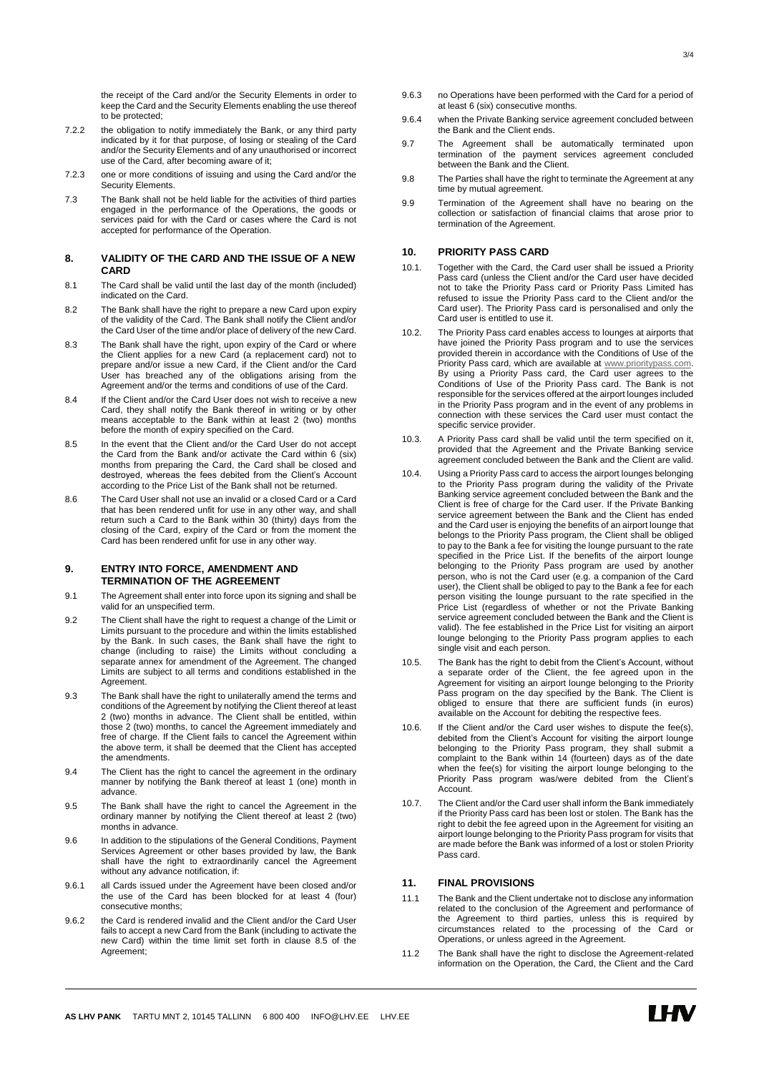the receipt of the Card and/or the Security Elements in order to keep the Card and the Security Elements enabling the use thereof to be protected;

- 7.2.2 the obligation to notify immediately the Bank, or any third party indicated by it for that purpose, of losing or stealing of the Card and/or the Security Elements and of any unauthorised or incorrect use of the Card, after becoming aware of it;
- 7.2.3 one or more conditions of issuing and using the Card and/or the Security Elements.
- 7.3 The Bank shall not be held liable for the activities of third parties engaged in the performance of the Operations, the goods or services paid for with the Card or cases where the Card is not accepted for performance of the Operation.

## **8. VALIDITY OF THE CARD AND THE ISSUE OF A NEW CARD**

- 8.1 The Card shall be valid until the last day of the month (included) indicated on the Card.
- 8.2 The Bank shall have the right to prepare a new Card upon expiry of the validity of the Card. The Bank shall notify the Client and/or the Card User of the time and/or place of delivery of the new Card.
- 8.3 The Bank shall have the right, upon expiry of the Card or where the Client applies for a new Card (a replacement card) not to prepare and/or issue a new Card, if the Client and/or the Card User has breached any of the obligations arising from the Agreement and/or the terms and conditions of use of the Card.
- 8.4 If the Client and/or the Card User does not wish to receive a new Card, they shall notify the Bank thereof in writing or by other means acceptable to the Bank within at least 2 (two) months before the month of expiry specified on the Card.
- 8.5 In the event that the Client and/or the Card User do not accept the Card from the Bank and/or activate the Card within 6 (six) months from preparing the Card, the Card shall be closed and destroyed, whereas the fees debited from the Client's Account according to the Price List of the Bank shall not be returned.
- 8.6 The Card User shall not use an invalid or a closed Card or a Card that has been rendered unfit for use in any other way, and shall return such a Card to the Bank within 30 (thirty) days from the closing of the Card, expiry of the Card or from the moment the Card has been rendered unfit for use in any other way.

#### **9. ENTRY INTO FORCE, AMENDMENT AND TERMINATION OF THE AGREEMENT**

- 9.1 The Agreement shall enter into force upon its signing and shall be valid for an unspecified term.
- 9.2 The Client shall have the right to request a change of the Limit or Limits pursuant to the procedure and within the limits established by the Bank. In such cases, the Bank shall have the right to change (including to raise) the Limits without concluding a separate annex for amendment of the Agreement. The changed Limits are subject to all terms and conditions established in the Agreement.
- 9.3 The Bank shall have the right to unilaterally amend the terms and conditions of the Agreement by notifying the Client thereof at least 2 (two) months in advance. The Client shall be entitled, within those 2 (two) months, to cancel the Agreement immediately and free of charge. If the Client fails to cancel the Agreement within the above term, it shall be deemed that the Client has accepted the amendments.
- 9.4 The Client has the right to cancel the agreement in the ordinary manner by notifying the Bank thereof at least 1 (one) month in advance.
- 9.5 The Bank shall have the right to cancel the Agreement in the ordinary manner by notifying the Client thereof at least 2 (two) months in advance.
- 9.6 In addition to the stipulations of the General Conditions, Payment Services Agreement or other bases provided by law, the Bank shall have the right to extraordinarily cancel the Agreement without any advance notification, if:
- 9.6.1 all Cards issued under the Agreement have been closed and/or the use of the Card has been blocked for at least 4 (four) consecutive months;
- 9.6.2 the Card is rendered invalid and the Client and/or the Card User fails to accept a new Card from the Bank (including to activate the new Card) within the time limit set forth in clause 8.5 of the Agreement;
- 9.6.3 no Operations have been performed with the Card for a period of at least 6 (six) consecutive months.
- 9.6.4 when the Private Banking service agreement concluded between the Bank and the Client ends.
- 9.7 The Agreement shall be automatically terminated upon termination of the payment services agreement concluded between the Bank and the Client.
- 9.8 The Parties shall have the right to terminate the Agreement at any time by mutual agreement.
- 9.9 Termination of the Agreement shall have no bearing on the collection or satisfaction of financial claims that arose prior to termination of the Agreement.

### **10. PRIORITY PASS CARD**

- 10.1. Together with the Card, the Card user shall be issued a Priority Pass card (unless the Client and/or the Card user have decided not to take the Priority Pass card or Priority Pass Limited has refused to issue the Priority Pass card to the Client and/or the Card user). The Priority Pass card is personalised and only the Card user is entitled to use it.
- 10.2. The Priority Pass card enables access to lounges at airports that have joined the Priority Pass program and to use the services provided therein in accordance with the Conditions of Use of the Priority Pass card, which are available at www.prioritypass.com. By using a Priority Pass card, the Card user agrees to the Conditions of Use of the Priority Pass card. The Bank is not responsible for the services offered at the airport lounges included in the Priority Pass program and in the event of any problems in connection with these services the Card user must contact the specific service provider.
- 10.3. A Priority Pass card shall be valid until the term specified on it, provided that the Agreement and the Private Banking service agreement concluded between the Bank and the Client are valid.
- 10.4. Using a Priority Pass card to access the airport lounges belonging to the Priority Pass program during the validity of the Private Banking service agreement concluded between the Bank and the Client is free of charge for the Card user. If the Private Banking service agreement between the Bank and the Client has ended and the Card user is enjoying the benefits of an airport lounge that belongs to the Priority Pass program, the Client shall be obliged to pay to the Bank a fee for visiting the lounge pursuant to the rate specified in the Price List. If the benefits of the airport lounge belonging to the Priority Pass program are used by another person, who is not the Card user (e.g. a companion of the Card user), the Client shall be obliged to pay to the Bank a fee for each person visiting the lounge pursuant to the rate specified in the Price List (regardless of whether or not the Private Banking service agreement concluded between the Bank and the Client is valid). The fee established in the Price List for visiting an airport lounge belonging to the Priority Pass program applies to each single visit and each person.
- 10.5. The Bank has the right to debit from the Client's Account, without a separate order of the Client, the fee agreed upon in the Agreement for visiting an airport lounge belonging to the Priority Pass program on the day specified by the Bank. The Client is obliged to ensure that there are sufficient funds (in euros) available on the Account for debiting the respective fees.
- 10.6. If the Client and/or the Card user wishes to dispute the fee(s), debited from the Client's Account for visiting the airport lounge belonging to the Priority Pass program, they shall submit a consigning to the Bank within 14 (fourteen) days as of the date when the fee(s) for visiting the airport lounge belonging to the Priority Pass program was/were debited from the Client's Account.
- 10.7. The Client and/or the Card user shall inform the Bank immediately if the Priority Pass card has been lost or stolen. The Bank has the right to debit the fee agreed upon in the Agreement for visiting an airport lounge belonging to the Priority Pass program for visits that are made before the Bank was informed of a lost or stolen Priority Pass card.

# **11. FINAL PROVISIONS**

- 11.1 The Bank and the Client undertake not to disclose any information related to the conclusion of the Agreement and performance of the Agreement to third parties, unless this is required by circumstances related to the processing of the Card or Operations, or unless agreed in the Agreement.
- 11.2 The Bank shall have the right to disclose the Agreement-related information on the Operation, the Card, the Client and the Card